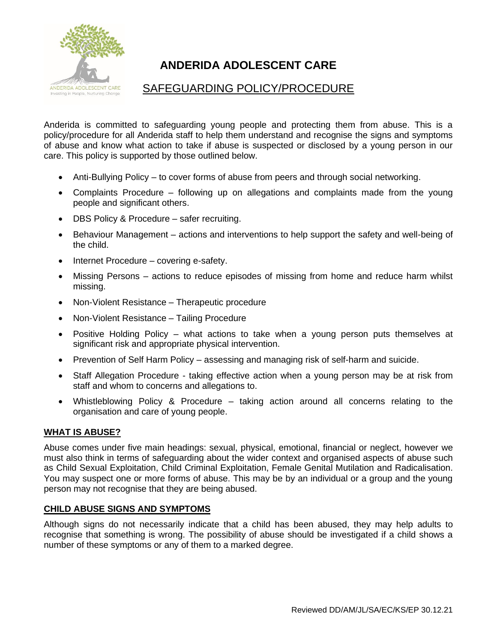

# **ANDERIDA ADOLESCENT CARE**

## SAFEGUARDING POLICY/PROCEDURE

Anderida is committed to safeguarding young people and protecting them from abuse. This is a policy/procedure for all Anderida staff to help them understand and recognise the signs and symptoms of abuse and know what action to take if abuse is suspected or disclosed by a young person in our care. This policy is supported by those outlined below.

- Anti-Bullying Policy to cover forms of abuse from peers and through social networking.
- Complaints Procedure following up on allegations and complaints made from the young people and significant others.
- DBS Policy & Procedure safer recruiting.
- Behaviour Management actions and interventions to help support the safety and well-being of the child.
- Internet Procedure covering e-safety.
- Missing Persons actions to reduce episodes of missing from home and reduce harm whilst missing.
- Non-Violent Resistance Therapeutic procedure
- Non-Violent Resistance Tailing Procedure
- Positive Holding Policy what actions to take when a young person puts themselves at significant risk and appropriate physical intervention.
- Prevention of Self Harm Policy assessing and managing risk of self-harm and suicide.
- Staff Allegation Procedure taking effective action when a young person may be at risk from staff and whom to concerns and allegations to.
- Whistleblowing Policy & Procedure taking action around all concerns relating to the organisation and care of young people.

## **WHAT IS ABUSE?**

Abuse comes under five main headings: sexual, physical, emotional, financial or neglect, however we must also think in terms of safeguarding about the wider context and organised aspects of abuse such as Child Sexual Exploitation, Child Criminal Exploitation, Female Genital Mutilation and Radicalisation. You may suspect one or more forms of abuse. This may be by an individual or a group and the young person may not recognise that they are being abused.

## **CHILD ABUSE SIGNS AND SYMPTOMS**

Although signs do not necessarily indicate that a child has been abused, they may help adults to recognise that something is wrong. The possibility of abuse should be investigated if a child shows a number of these symptoms or any of them to a marked degree.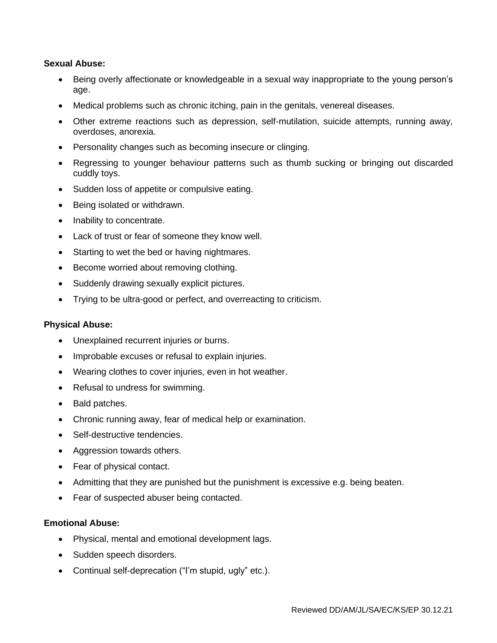## **Sexual Abuse:**

- Being overly affectionate or knowledgeable in a sexual way inappropriate to the young person's age.
- Medical problems such as chronic itching, pain in the genitals, venereal diseases.
- Other extreme reactions such as depression, self-mutilation, suicide attempts, running away, overdoses, anorexia.
- Personality changes such as becoming insecure or clinging.
- Regressing to younger behaviour patterns such as thumb sucking or bringing out discarded cuddly toys.
- Sudden loss of appetite or compulsive eating.
- Being isolated or withdrawn.
- Inability to concentrate.
- Lack of trust or fear of someone they know well.
- Starting to wet the bed or having nightmares.
- Become worried about removing clothing.
- Suddenly drawing sexually explicit pictures.
- Trying to be ultra-good or perfect, and overreacting to criticism.

#### **Physical Abuse:**

- Unexplained recurrent injuries or burns.
- Improbable excuses or refusal to explain injuries.
- Wearing clothes to cover injuries, even in hot weather.
- Refusal to undress for swimming.
- Bald patches.
- Chronic running away, fear of medical help or examination.
- Self-destructive tendencies.
- Aggression towards others.
- Fear of physical contact.
- Admitting that they are punished but the punishment is excessive e.g. being beaten.
- Fear of suspected abuser being contacted.

#### **Emotional Abuse:**

- Physical, mental and emotional development lags.
- Sudden speech disorders.
- Continual self-deprecation ("I'm stupid, ugly" etc.).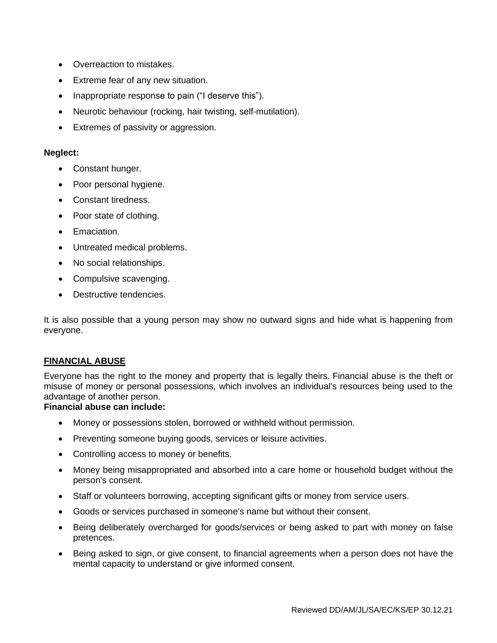- Overreaction to mistakes.
- Extreme fear of any new situation.
- Inappropriate response to pain ("I deserve this").
- Neurotic behaviour (rocking, hair twisting, self-mutilation).
- Extremes of passivity or aggression.

### **Neglect:**

- Constant hunger.
- Poor personal hygiene.
- Constant tiredness.
- Poor state of clothing.
- Emaciation.
- Untreated medical problems.
- No social relationships.
- Compulsive scavenging.
- Destructive tendencies.

It is also possible that a young person may show no outward signs and hide what is happening from everyone.

## **FINANCIAL ABUSE**

Everyone has the right to the money and property that is legally theirs. Financial abuse is the theft or misuse of money or personal possessions, which involves an individual's resources being used to the advantage of another person.

## **Financial abuse can include:**

- Money or possessions stolen, borrowed or withheld without permission.
- Preventing someone buying goods, services or leisure activities.
- Controlling access to money or benefits.
- Money being misappropriated and absorbed into a care home or household budget without the person's consent.
- Staff or volunteers borrowing, accepting significant gifts or money from service users.
- Goods or services purchased in someone's name but without their consent.
- Being deliberately overcharged for goods/services or being asked to part with money on false pretences.
- Being asked to sign, or give consent, to financial agreements when a person does not have the mental capacity to understand or give informed consent.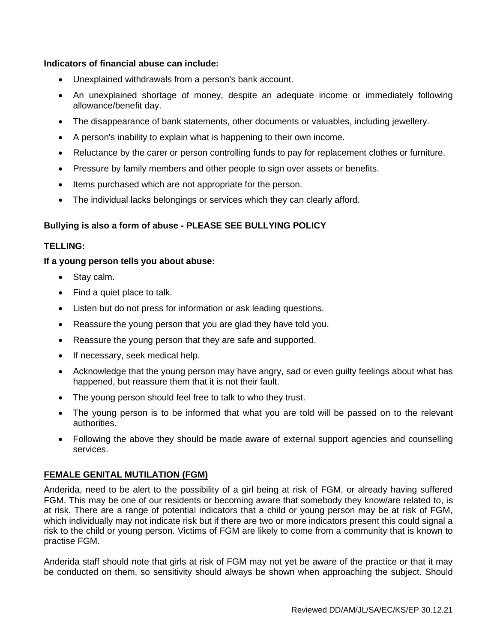## **Indicators of financial abuse can include:**

- Unexplained withdrawals from a person's bank account.
- An unexplained shortage of money, despite an adequate income or immediately following allowance/benefit day.
- The disappearance of bank statements, other documents or valuables, including jewellery.
- A person's inability to explain what is happening to their own income.
- Reluctance by the carer or person controlling funds to pay for replacement clothes or furniture.
- Pressure by family members and other people to sign over assets or benefits.
- Items purchased which are not appropriate for the person.
- The individual lacks belongings or services which they can clearly afford.

### **Bullying is also a form of abuse - PLEASE SEE BULLYING POLICY**

## **TELLING:**

#### **If a young person tells you about abuse:**

- Stay calm.
- Find a quiet place to talk.
- Listen but do not press for information or ask leading questions.
- Reassure the young person that you are glad they have told you.
- Reassure the young person that they are safe and supported.
- If necessary, seek medical help.
- Acknowledge that the young person may have angry, sad or even guilty feelings about what has happened, but reassure them that it is not their fault.
- The young person should feel free to talk to who they trust.
- The young person is to be informed that what you are told will be passed on to the relevant authorities.
- Following the above they should be made aware of external support agencies and counselling services.

## **FEMALE GENITAL MUTILATION (FGM)**

Anderida, need to be alert to the possibility of a girl being at risk of FGM, or already having suffered FGM. This may be one of our residents or becoming aware that somebody they know/are related to, is at risk. There are a range of potential indicators that a child or young person may be at risk of FGM, which individually may not indicate risk but if there are two or more indicators present this could signal a risk to the child or young person. Victims of FGM are likely to come from a community that is known to practise FGM.

Anderida staff should note that girls at risk of FGM may not yet be aware of the practice or that it may be conducted on them, so sensitivity should always be shown when approaching the subject. Should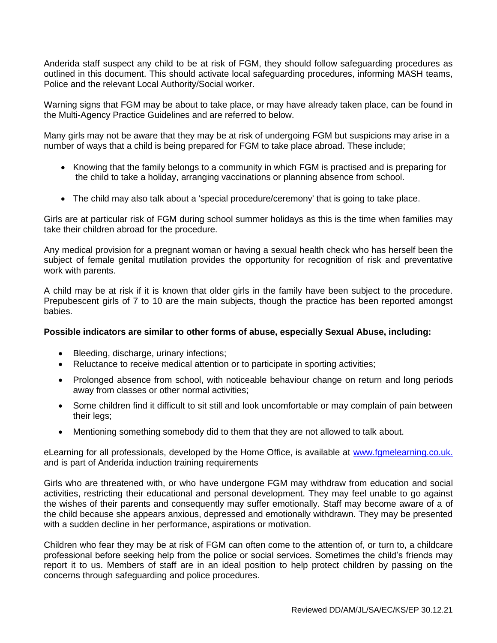Anderida staff suspect any child to be at risk of FGM, they should follow safeguarding procedures as outlined in this document. This should activate local safeguarding procedures, informing MASH teams, Police and the relevant Local Authority/Social worker.

Warning signs that FGM may be about to take place, or may have already taken place, can be found in the Multi-Agency Practice Guidelines and are referred to below.

Many girls may not be aware that they may be at risk of undergoing FGM but suspicions may arise in a number of ways that a child is being prepared for FGM to take place abroad. These include;

- Knowing that the family belongs to a community in which FGM is practised and is preparing for the child to take a holiday, arranging vaccinations or planning absence from school.
- The child may also talk about a 'special procedure/ceremony' that is going to take place.

Girls are at particular risk of FGM during school summer holidays as this is the time when families may take their children abroad for the procedure.

Any medical provision for a pregnant woman or having a sexual health check who has herself been the subject of female genital mutilation provides the opportunity for recognition of risk and preventative work with parents.

A child may be at risk if it is known that older girls in the family have been subject to the procedure. Prepubescent girls of 7 to 10 are the main subjects, though the practice has been reported amongst babies.

## **Possible indicators are similar to other forms of abuse, especially Sexual Abuse, including:**

- Bleeding, discharge, urinary infections;
- Reluctance to receive medical attention or to participate in sporting activities;
- Prolonged absence from school, with noticeable behaviour change on return and long periods away from classes or other normal activities;
- Some children find it difficult to sit still and look uncomfortable or may complain of pain between their legs;
- Mentioning something somebody did to them that they are not allowed to talk about.

eLearning for all professionals, developed by the Home Office, is available at [www.fgmelearning.co.uk.](http://www.fgmelearning.co.uk/) and is part of Anderida induction training requirements

Girls who are threatened with, or who have undergone FGM may withdraw from education and social activities, restricting their educational and personal development. They may feel unable to go against the wishes of their parents and consequently may suffer emotionally. Staff may become aware of a of the child because she appears anxious, depressed and emotionally withdrawn. They may be presented with a sudden decline in her performance, aspirations or motivation.

Children who fear they may be at risk of FGM can often come to the attention of, or turn to, a childcare professional before seeking help from the police or social services. Sometimes the child's friends may report it to us. Members of staff are in an ideal position to help protect children by passing on the concerns through safeguarding and police procedures.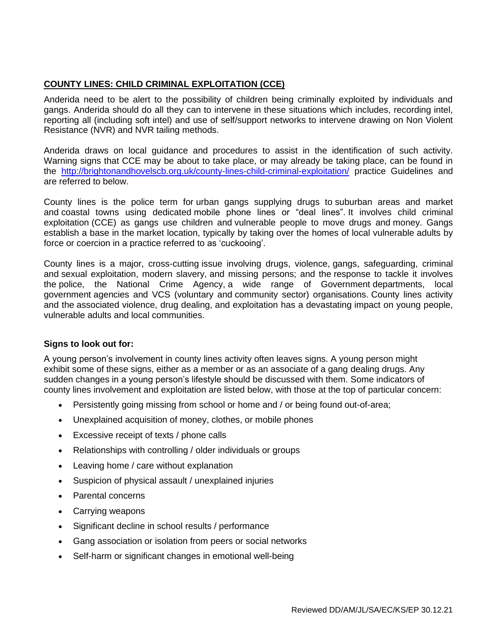## **COUNTY LINES: CHILD CRIMINAL EXPLOITATION (CCE)**

Anderida need to be alert to the possibility of children being criminally exploited by individuals and gangs. Anderida should do all they can to intervene in these situations which includes, recording intel, reporting all (including soft intel) and use of self/support networks to intervene drawing on Non Violent Resistance (NVR) and NVR tailing methods.

Anderida draws on local guidance and procedures to assist in the identification of such activity. Warning signs that CCE may be about to take place, or may already be taking place, can be found in the <http://brightonandhovelscb.org.uk/county-lines-child-criminal-exploitation/> practice Guidelines and are referred to below.

County lines is the police term for urban gangs supplying drugs to suburban areas and market and coastal towns using dedicated mobile phone lines or "deal lines". It involves child criminal exploitation (CCE) as gangs use children and vulnerable people to move drugs and money. Gangs establish a base in the market location, typically by taking over the homes of local vulnerable adults by force or coercion in a practice referred to as 'cuckooing'.

County lines is a major, cross-cutting issue involving drugs, violence, gangs, safeguarding, criminal and sexual exploitation, modern slavery, and missing persons; and the response to tackle it involves the police, the National Crime Agency, a wide range of Government departments, local government agencies and VCS (voluntary and community sector) organisations. County lines activity and the associated violence, drug dealing, and exploitation has a devastating impact on young people, vulnerable adults and local communities.

## **Signs to look out for:**

A young person's involvement in county lines activity often leaves signs. A young person might exhibit some of these signs, either as a member or as an associate of a gang dealing drugs. Any sudden changes in a young person's lifestyle should be discussed with them. Some indicators of county lines involvement and exploitation are listed below, with those at the top of particular concern:

- Persistently going missing from school or home and / or being found out-of-area;
- Unexplained acquisition of money, clothes, or mobile phones
- Excessive receipt of texts / phone calls
- Relationships with controlling / older individuals or groups
- Leaving home / care without explanation
- Suspicion of physical assault / unexplained injuries
- Parental concerns
- Carrying weapons
- Significant decline in school results / performance
- Gang association or isolation from peers or social networks
- Self-harm or significant changes in emotional well-being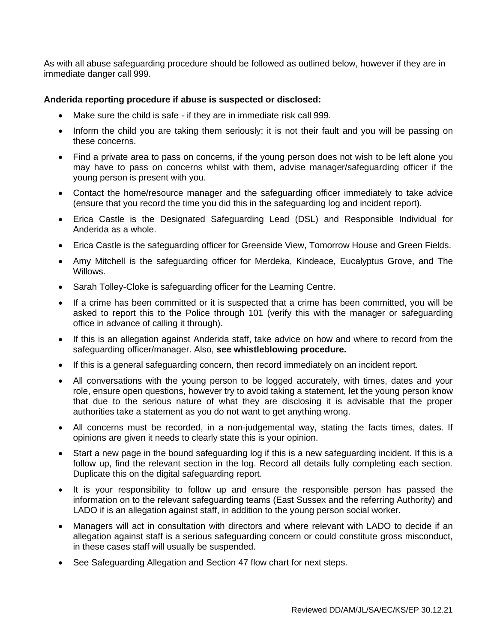As with all abuse safeguarding procedure should be followed as outlined below, however if they are in immediate danger call 999.

### **Anderida reporting procedure if abuse is suspected or disclosed:**

- Make sure the child is safe if they are in immediate risk call 999.
- Inform the child you are taking them seriously; it is not their fault and you will be passing on these concerns.
- Find a private area to pass on concerns, if the young person does not wish to be left alone you may have to pass on concerns whilst with them, advise manager/safeguarding officer if the young person is present with you.
- Contact the home/resource manager and the safeguarding officer immediately to take advice (ensure that you record the time you did this in the safeguarding log and incident report).
- Erica Castle is the Designated Safeguarding Lead (DSL) and Responsible Individual for Anderida as a whole.
- Erica Castle is the safeguarding officer for Greenside View, Tomorrow House and Green Fields.
- Amy Mitchell is the safeguarding officer for Merdeka, Kindeace, Eucalyptus Grove, and The Willows.
- Sarah Tolley-Cloke is safeguarding officer for the Learning Centre.
- If a crime has been committed or it is suspected that a crime has been committed, you will be asked to report this to the Police through 101 (verify this with the manager or safeguarding office in advance of calling it through).
- If this is an allegation against Anderida staff, take advice on how and where to record from the safeguarding officer/manager. Also, **see whistleblowing procedure.**
- If this is a general safeguarding concern, then record immediately on an incident report.
- All conversations with the young person to be logged accurately, with times, dates and your role, ensure open questions, however try to avoid taking a statement, let the young person know that due to the serious nature of what they are disclosing it is advisable that the proper authorities take a statement as you do not want to get anything wrong.
- All concerns must be recorded, in a non-judgemental way, stating the facts times, dates. If opinions are given it needs to clearly state this is your opinion.
- Start a new page in the bound safeguarding log if this is a new safeguarding incident. If this is a follow up, find the relevant section in the log. Record all details fully completing each section. Duplicate this on the digital safeguarding report.
- It is your responsibility to follow up and ensure the responsible person has passed the information on to the relevant safeguarding teams (East Sussex and the referring Authority) and LADO if is an allegation against staff, in addition to the young person social worker.
- Managers will act in consultation with directors and where relevant with LADO to decide if an allegation against staff is a serious safeguarding concern or could constitute gross misconduct, in these cases staff will usually be suspended.
- See Safeguarding Allegation and Section 47 flow chart for next steps.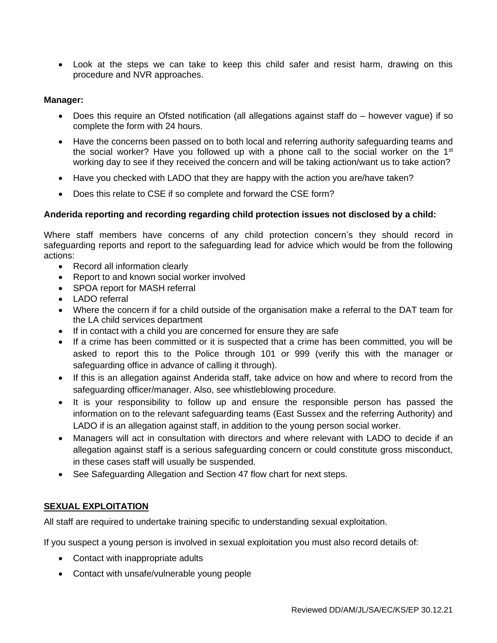• Look at the steps we can take to keep this child safer and resist harm, drawing on this procedure and NVR approaches.

### **Manager:**

- Does this require an Ofsted notification (all allegations against staff do however vague) if so complete the form with 24 hours.
- Have the concerns been passed on to both local and referring authority safeguarding teams and the social worker? Have you followed up with a phone call to the social worker on the 1<sup>st</sup> working day to see if they received the concern and will be taking action/want us to take action?
- Have you checked with LADO that they are happy with the action you are/have taken?
- Does this relate to CSE if so complete and forward the CSE form?

### **Anderida reporting and recording regarding child protection issues not disclosed by a child:**

Where staff members have concerns of any child protection concern's they should record in safeguarding reports and report to the safeguarding lead for advice which would be from the following actions:

- Record all information clearly
- Report to and known social worker involved
- SPOA report for MASH referral
- LADO referral
- Where the concern if for a child outside of the organisation make a referral to the DAT team for the LA child services department
- If in contact with a child you are concerned for ensure they are safe
- If a crime has been committed or it is suspected that a crime has been committed, you will be asked to report this to the Police through 101 or 999 (verify this with the manager or safeguarding office in advance of calling it through).
- If this is an allegation against Anderida staff, take advice on how and where to record from the safeguarding officer/manager. Also, see whistleblowing procedure.
- It is your responsibility to follow up and ensure the responsible person has passed the information on to the relevant safeguarding teams (East Sussex and the referring Authority) and LADO if is an allegation against staff, in addition to the young person social worker.
- Managers will act in consultation with directors and where relevant with LADO to decide if an allegation against staff is a serious safeguarding concern or could constitute gross misconduct, in these cases staff will usually be suspended.
- See Safeguarding Allegation and Section 47 flow chart for next steps.

#### **SEXUAL EXPLOITATION**

All staff are required to undertake training specific to understanding sexual exploitation.

If you suspect a young person is involved in sexual exploitation you must also record details of:

- Contact with inappropriate adults
- Contact with unsafe/vulnerable young people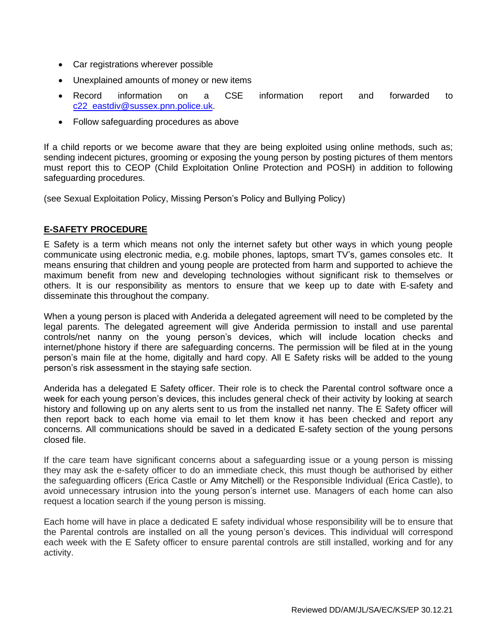- Car registrations wherever possible
- Unexplained amounts of money or new items
- Record information on a CSE information report and forwarded to [c22\\_eastdiv@sussex.pnn.police.uk.](mailto:c22_eastdiv@sussex.pnn.police.uk)
- Follow safeguarding procedures as above

If a child reports or we become aware that they are being exploited using online methods, such as; sending indecent pictures, grooming or exposing the young person by posting pictures of them mentors must report this to CEOP (Child Exploitation Online Protection and POSH) in addition to following safeguarding procedures.

(see Sexual Exploitation Policy, Missing Person's Policy and Bullying Policy)

## **E-SAFETY PROCEDURE**

E Safety is a term which means not only the internet safety but other ways in which young people communicate using electronic media, e.g. mobile phones, laptops, smart TV's, games consoles etc. It means ensuring that children and young people are protected from harm and supported to achieve the maximum benefit from new and developing technologies without significant risk to themselves or others. It is our responsibility as mentors to ensure that we keep up to date with E-safety and disseminate this throughout the company.

When a young person is placed with Anderida a delegated agreement will need to be completed by the legal parents. The delegated agreement will give Anderida permission to install and use parental controls/net nanny on the young person's devices, which will include location checks and internet/phone history if there are safeguarding concerns. The permission will be filed at in the young person's main file at the home, digitally and hard copy. All E Safety risks will be added to the young person's risk assessment in the staying safe section.

Anderida has a delegated E Safety officer. Their role is to check the Parental control software once a week for each young person's devices, this includes general check of their activity by looking at search history and following up on any alerts sent to us from the installed net nanny. The E Safety officer will then report back to each home via email to let them know it has been checked and report any concerns. All communications should be saved in a dedicated E-safety section of the young persons closed file.

If the care team have significant concerns about a safeguarding issue or a young person is missing they may ask the e-safety officer to do an immediate check, this must though be authorised by either the safeguarding officers (Erica Castle or Amy Mitchell) or the Responsible Individual (Erica Castle), to avoid unnecessary intrusion into the young person's internet use. Managers of each home can also request a location search if the young person is missing.

Each home will have in place a dedicated E safety individual whose responsibility will be to ensure that the Parental controls are installed on all the young person's devices. This individual will correspond each week with the E Safety officer to ensure parental controls are still installed, working and for any activity.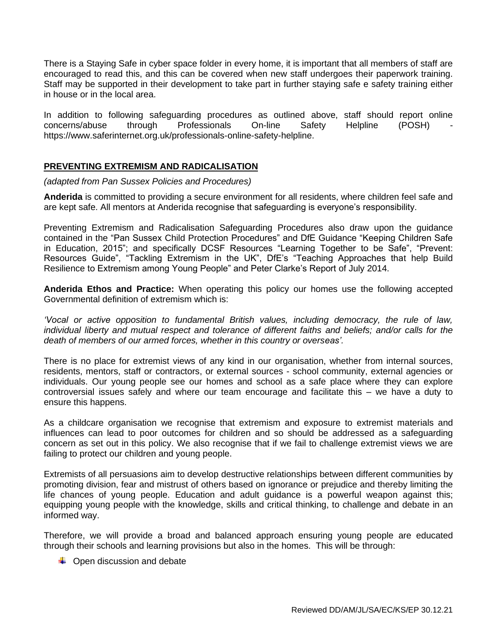There is a Staying Safe in cyber space folder in every home, it is important that all members of staff are encouraged to read this, and this can be covered when new staff undergoes their paperwork training. Staff may be supported in their development to take part in further staying safe e safety training either in house or in the local area.

In addition to following safeguarding procedures as outlined above, staff should report online concerns/abuse through Professionals On-line Safety Helpline (POSH) https://www.saferinternet.org.uk/professionals-online-safety-helpline.

## **PREVENTING EXTREMISM AND RADICALISATION**

*(adapted from Pan Sussex Policies and Procedures)*

**Anderida** is committed to providing a secure environment for all residents, where children feel safe and are kept safe. All mentors at Anderida recognise that safeguarding is everyone's responsibility.

Preventing Extremism and Radicalisation Safeguarding Procedures also draw upon the guidance contained in the "Pan Sussex Child Protection Procedures" and DfE Guidance "Keeping Children Safe in Education, 2015"; and specifically DCSF Resources "Learning Together to be Safe", "Prevent: Resources Guide", "Tackling Extremism in the UK", DfE's "Teaching Approaches that help Build Resilience to Extremism among Young People" and Peter Clarke's Report of July 2014.

**Anderida Ethos and Practice:** When operating this policy our homes use the following accepted Governmental definition of extremism which is:

*'Vocal or active opposition to fundamental British values, including democracy, the rule of law, individual liberty and mutual respect and tolerance of different faiths and beliefs; and/or calls for the death of members of our armed forces, whether in this country or overseas'.*

There is no place for extremist views of any kind in our organisation, whether from internal sources, residents, mentors, staff or contractors, or external sources - school community, external agencies or individuals. Our young people see our homes and school as a safe place where they can explore controversial issues safely and where our team encourage and facilitate this – we have a duty to ensure this happens.

As a childcare organisation we recognise that extremism and exposure to extremist materials and influences can lead to poor outcomes for children and so should be addressed as a safeguarding concern as set out in this policy. We also recognise that if we fail to challenge extremist views we are failing to protect our children and young people.

Extremists of all persuasions aim to develop destructive relationships between different communities by promoting division, fear and mistrust of others based on ignorance or prejudice and thereby limiting the life chances of young people. Education and adult guidance is a powerful weapon against this; equipping young people with the knowledge, skills and critical thinking, to challenge and debate in an informed way.

Therefore, we will provide a broad and balanced approach ensuring young people are educated through their schools and learning provisions but also in the homes. This will be through:

 $\downarrow$  Open discussion and debate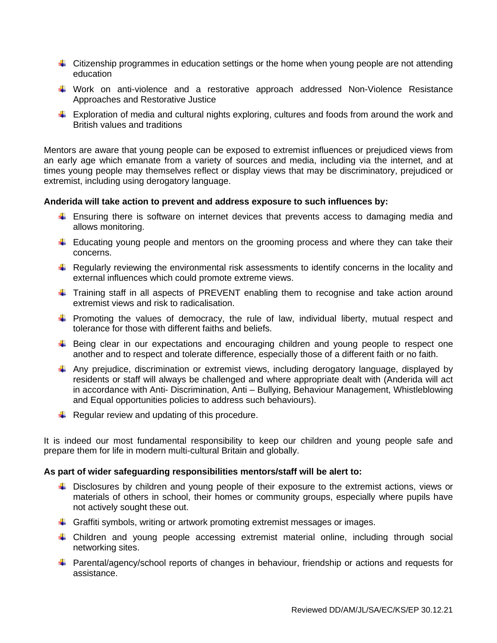- **UX** Citizenship programmes in education settings or the home when young people are not attending education
- Work on anti-violence and a restorative approach addressed Non-Violence Resistance Approaches and Restorative Justice
- $\ddot{\bullet}$  Exploration of media and cultural nights exploring, cultures and foods from around the work and British values and traditions

Mentors are aware that young people can be exposed to extremist influences or prejudiced views from an early age which emanate from a variety of sources and media, including via the internet, and at times young people may themselves reflect or display views that may be discriminatory, prejudiced or extremist, including using derogatory language.

### **Anderida will take action to prevent and address exposure to such influences by:**

- Ensuring there is software on internet devices that prevents access to damaging media and allows monitoring.
- $\ddot{\phantom{1}}$  Educating young people and mentors on the grooming process and where they can take their concerns.
- $\ddot{\phantom{1}}$  Regularly reviewing the environmental risk assessments to identify concerns in the locality and external influences which could promote extreme views.
- $\ddot{\phantom{1}}$  Training staff in all aspects of PREVENT enabling them to recognise and take action around extremist views and risk to radicalisation.
- **Promoting the values of democracy, the rule of law, individual liberty, mutual respect and** tolerance for those with different faiths and beliefs.
- E Being clear in our expectations and encouraging children and young people to respect one another and to respect and tolerate difference, especially those of a different faith or no faith.
- $\downarrow$  Any prejudice, discrimination or extremist views, including derogatory language, displayed by residents or staff will always be challenged and where appropriate dealt with (Anderida will act in accordance with Anti- Discrimination, Anti – Bullying, Behaviour Management, Whistleblowing and Equal opportunities policies to address such behaviours).
- $\downarrow$  Regular review and updating of this procedure.

It is indeed our most fundamental responsibility to keep our children and young people safe and prepare them for life in modern multi-cultural Britain and globally.

#### **As part of wider safeguarding responsibilities mentors/staff will be alert to:**

- **U Disclosures by children and young people of their exposure to the extremist actions, views or** materials of others in school, their homes or community groups, especially where pupils have not actively sought these out.
- Graffiti symbols, writing or artwork promoting extremist messages or images.
- Children and young people accessing extremist material online, including through social networking sites.
- **Parental/agency/school reports of changes in behaviour, friendship or actions and requests for** assistance.